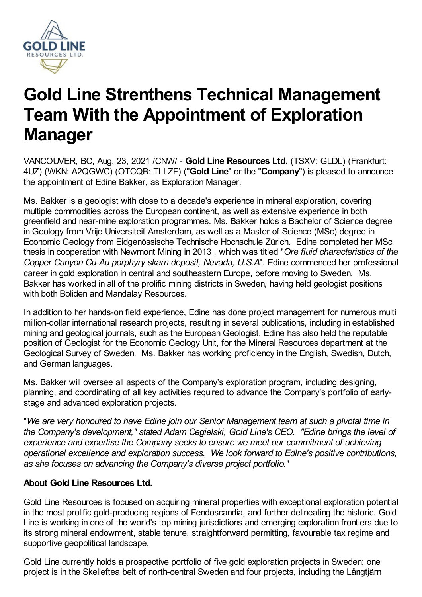

# **Gold Line Strenthens Technical Management Team With the Appointment of Exploration Manager**

VANCOUVER, BC, Aug. 23, 2021 /CNW/ - **Gold Line Resources Ltd.** (TSXV: GLDL) (Frankfurt: 4UZ) (WKN: A2QGWC) (OTCQB: TLLZF) ("**Gold Line**" or the "**Company**") is pleased to announce the appointment of Edine Bakker, as Exploration Manager.

Ms. Bakker is a geologist with close to a decade's experience in mineral exploration, covering multiple commodities across the European continent, as well as extensive experience in both greenfield and near-mine exploration programmes. Ms. Bakker holds a Bachelor of Science degree in Geology from Vrije Universiteit Amsterdam, as well as a Master of Science (MSc) degree in Economic Geology from Eidgenössische Technische Hochschule Zürich. Edine completed her MSc thesis in cooperation with Newmont Mining in 2013 , which was titled "*Ore fluid characteristics of the Copper Canyon Cu-Au porphyry skarn deposit, Nevada, U.S.A*". Edine commenced her professional career in gold exploration in central and southeastern Europe, before moving to Sweden. Ms. Bakker has worked in all of the prolific mining districts in Sweden, having held geologist positions with both Boliden and Mandalay Resources.

In addition to her hands-on field experience, Edine has done project management for numerous multi million-dollar international research projects, resulting in several publications, including in established mining and geological journals, such as the European Geologist. Edine has also held the reputable position of Geologist for the Economic Geology Unit, for the Mineral Resources department at the Geological Survey of Sweden. Ms. Bakker has working proficiency in the English, Swedish, Dutch, and German languages.

Ms. Bakker will oversee all aspects of the Company's exploration program, including designing, planning, and coordinating of all key activities required to advance the Company's portfolio of earlystage and advanced exploration projects.

"*We are very honoured to have Edine join our Senior Management team at such a pivotal time in the Company's development," stated Adam Cegielski, Gold Line's CEO. "Edine brings the level of experience and expertise the Company seeks to ensure we meet our commitment of achieving operational excellence and exploration success. We look forward to Edine's positive contributions, as she focuses on advancing the Company's diverse project portfolio.*"

## **About Gold Line Resources Ltd.**

Gold Line Resources is focused on acquiring mineral properties with exceptional exploration potential in the most prolific gold-producing regions of Fendoscandia, and further delineating the historic. Gold Line is working in one of the world's top mining jurisdictions and emerging exploration frontiers due to its strong mineral endowment, stable tenure, straightforward permitting, favourable tax regime and supportive geopolitical landscape.

Gold Line currently holds a prospective portfolio of five gold exploration projects in Sweden: one project is in the Skelleftea belt of north-central Sweden and four projects, including the Långtjärn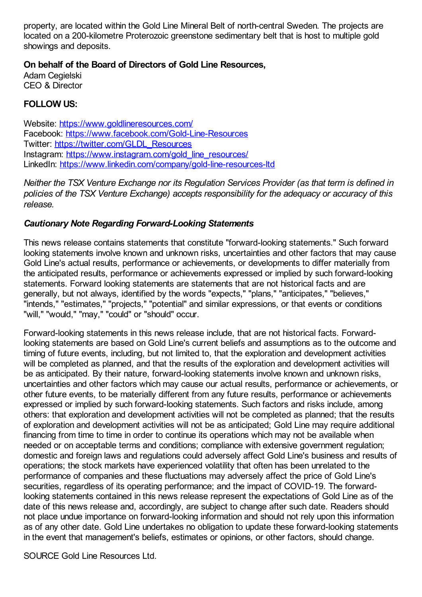property, are located within the Gold Line Mineral Belt of north-central Sweden. The projects are located on a 200-kilometre Proterozoic greenstone sedimentary belt that is host to multiple gold showings and deposits.

## **On behalf of the Board of Directors of Gold Line Resources,**

Adam Cegielski CEO & Director

#### **FOLLOW US:**

Website: <https://www.goldlineresources.com/> Facebook: <https://www.facebook.com/Gold-Line-Resources> Twitter: [https://twitter.com/GLDL\\_Resources](https://twitter.com/GLDL_Resources) Instagram: [https://www.instagram.com/gold\\_line\\_resources/](https://www.instagram.com/gold_line_resources/) LinkedIn: <https://www.linkedin.com/company/gold-line-resources-ltd>

*Neither the TSX Venture Exchange nor its Regulation Services Provider (as that term is defined in policies of the TSX Venture Exchange) accepts responsibility for the adequacy or accuracy of this release.*

#### *Cautionary Note Regarding Forward-Looking Statements*

This news release contains statements that constitute "forward-looking statements." Such forward looking statements involve known and unknown risks, uncertainties and other factors that may cause Gold Line's actual results, performance or achievements, or developments to differ materially from the anticipated results, performance or achievements expressed or implied by such forward-looking statements. Forward looking statements are statements that are not historical facts and are generally, but not always, identified by the words "expects," "plans," "anticipates," "believes," "intends," "estimates," "projects," "potential" and similar expressions, or that events or conditions "will," "would," "may," "could" or "should" occur.

Forward-looking statements in this news release include, that are not historical facts. Forwardlooking statements are based on Gold Line's current beliefs and assumptions as to the outcome and timing of future events, including, but not limited to, that the exploration and development activities will be completed as planned, and that the results of the exploration and development activities will be as anticipated. By their nature, forward-looking statements involve known and unknown risks, uncertainties and other factors which may cause our actual results, performance or achievements, or other future events, to be materially different from any future results, performance or achievements expressed or implied by such forward-looking statements. Such factors and risks include, among others: that exploration and development activities will not be completed as planned; that the results of exploration and development activities will not be as anticipated; Gold Line may require additional financing from time to time in order to continue its operations which may not be available when needed or on acceptable terms and conditions; compliance with extensive government regulation; domestic and foreign laws and regulations could adversely affect Gold Line's business and results of operations; the stock markets have experienced volatility that often has been unrelated to the performance of companies and these fluctuations may adversely affect the price of Gold Line's securities, regardless of its operating performance; and the impact of COVID-19. The forwardlooking statements contained in this news release represent the expectations of Gold Line as of the date of this news release and, accordingly, are subject to change after such date. Readers should not place undue importance on forward-looking information and should not rely upon this information as of any other date. Gold Line undertakes no obligation to update these forward-looking statements in the event that management's beliefs, estimates or opinions, or other factors, should change.

SOURCE Gold Line Resources Ltd.